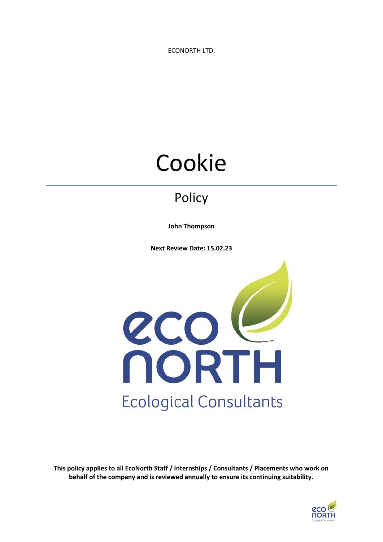ECONORTH LTD.

# Cookie

# Policy

**John Thompson**

**Next Review Date: 15.02.23**



**This policy applies to all EcoNorth Staff / Internships / Consultants / Placements who work on behalf of the company and is reviewed annually to ensure its continuing suitability.**

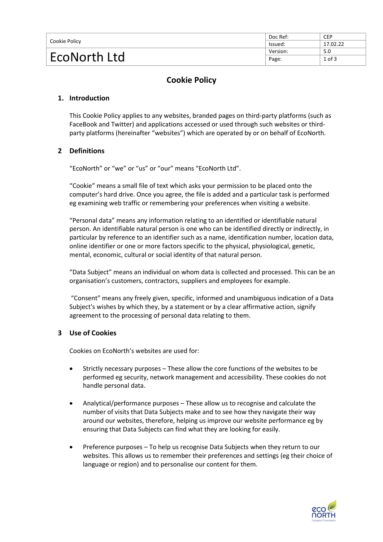| Cookie Policy | Doc Ref: | <b>CEP</b> |
|---------------|----------|------------|
|               | lssued:  | 17.02.22   |
| EcoNorth Ltd  | Version: | 5.0        |
|               | Page:    | $1$ of $3$ |

## **Cookie Policy**

#### **1. Introduction**

This Cookie Policy applies to any websites, branded pages on third-party platforms (such as FaceBook and Twitter) and applications accessed or used through such websites or thirdparty platforms (hereinafter "websites") which are operated by or on behalf of EcoNorth.

#### **2 Definitions**

"EcoNorth" or "we" or "us" or "our" means "EcoNorth Ltd".

"Cookie" means a small file of text which asks your permission to be placed onto the computer's hard drive. Once you agree, the file is added and a particular task is performed eg examining web traffic or remembering your preferences when visiting a website.

"Personal data" means any information relating to an identified or identifiable natural person. An identifiable natural person is one who can be identified directly or indirectly, in particular by reference to an identifier such as a name, identification number, location data, online identifier or one or more factors specific to the physical, physiological, genetic, mental, economic, cultural or social identity of that natural person.

"Data Subject" means an individual on whom data is collected and processed. This can be an organisation's customers, contractors, suppliers and employees for example.

"Consent" means any freely given, specific, informed and unambiguous indication of a Data Subject's wishes by which they, by a statement or by a clear affirmative action, signify agreement to the processing of personal data relating to them.

#### **3 Use of Cookies**

Cookies on EcoNorth's websites are used for:

- Strictly necessary purposes These allow the core functions of the websites to be performed eg security, network management and accessibility. These cookies do not handle personal data.
- Analytical/performance purposes These allow us to recognise and calculate the number of visits that Data Subjects make and to see how they navigate their way around our websites, therefore, helping us improve our website performance eg by ensuring that Data Subjects can find what they are looking for easily.
- Preference purposes To help us recognise Data Subjects when they return to our websites. This allows us to remember their preferences and settings (eg their choice of language or region) and to personalise our content for them.

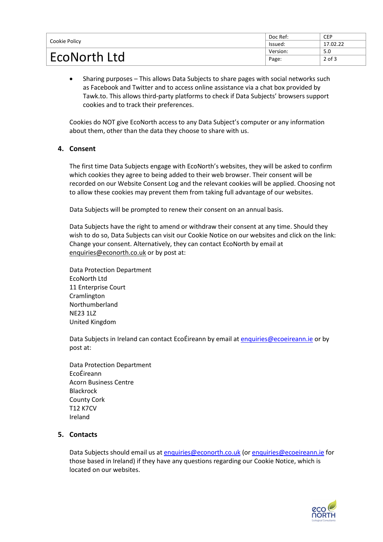| Cookie Policy       | Doc Ref: | <b>CEP</b> |
|---------------------|----------|------------|
|                     | lssued:  | 17.02.22   |
| <b>EcoNorth Ltd</b> | Version: | 5.0        |
|                     | Page:    | $2$ of $3$ |

• Sharing purposes – This allows Data Subjects to share pages with social networks such as Facebook and Twitter and to access online assistance via a chat box provided by Tawk.to. This allows third-party platforms to check if Data Subjects' browsers support cookies and to track their preferences.

Cookies do NOT give EcoNorth access to any Data Subject's computer or any information about them, other than the data they choose to share with us.

#### **4. Consent**

The first time Data Subjects engage with EcoNorth's websites, they will be asked to confirm which cookies they agree to being added to their web browser. Their consent will be recorded on our Website Consent Log and the relevant cookies will be applied. Choosing not to allow these cookies may prevent them from taking full advantage of our websites.

Data Subjects will be prompted to renew their consent on an annual basis.

Data Subjects have the right to amend or withdraw their consent at any time. Should they wish to do so, Data Subjects can visit our Cookie Notice on our websites and click on the link: Change your consent. Alternatively, they can contact EcoNorth by email at [enquiries@econorth.co.uk](mailto:sandi.davison@econorth.co.uk) or by post at:

Data Protection Department EcoNorth Ltd 11 Enterprise Court Cramlington Northumberland NE23 1LZ United Kingdom

Data Subjects in Ireland can contact EcoÉireann by email a[t enquiries@ecoeireann.ie](mailto:enquiries@ecoeireann.ie) or by post at:

Data Protection Department EcoÉireann Acorn Business Centre Blackrock County Cork T12 K7CV Ireland

#### **5. Contacts**

Data Subjects should email us at [enquiries@econorth.co.uk](mailto:sandi.davison@econorth.co.uk) (o[r enquiries@ecoeireann.ie](mailto:enquiries@ecoeireann.ie) for those based in Ireland) if they have any questions regarding our Cookie Notice, which is located on our websites.